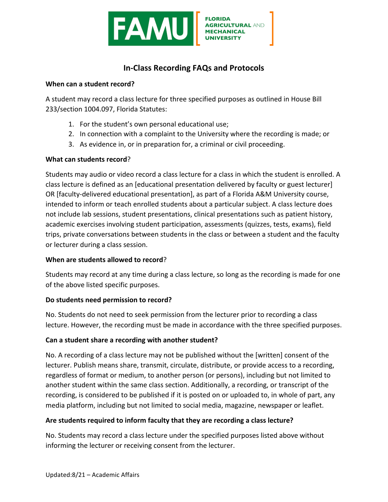

# **In-Class Recording FAQs and Protocols**

#### **When can a student record?**

A student may record a class lecture for three specified purposes as outlined in House Bill 233/section 1004.097, Florida Statutes:

- 1. For the student's own personal educational use;
- 2. In connection with a complaint to the University where the recording is made; or
- 3. As evidence in, or in preparation for, a criminal or civil proceeding.

## **What can students record?**

Students may audio or video record a class lecture for a class in which the student is enrolled. A class lecture is defined as an [educational presentation delivered by faculty or guest lecturer] OR [faculty-delivered educational presentation], as part of a Florida A&M University course, intended to inform or teach enrolled students about a particular subject. A class lecture does not include lab sessions, student presentations, clinical presentations such as patient history, academic exercises involving student participation, assessments (quizzes, tests, exams), field trips, private conversations between students in the class or between a student and the faculty or lecturer during a class session.

## **When are students allowed to record?**

Students may record at any time during a class lecture, so long as the recording is made for one of the above listed specific purposes.

## **Do students need permission to record?**

No. Students do not need to seek permission from the lecturer prior to recording a class lecture. However, the recording must be made in accordance with the three specified purposes.

## Can a student share a recording with another student?

No. A recording of a class lecture may not be published without the [written] consent of the lecturer. Publish means share, transmit, circulate, distribute, or provide access to a recording, regardless of format or medium, to another person (or persons), including but not limited to another student within the same class section. Additionally, a recording, or transcript of the recording, is considered to be published if it is posted on or uploaded to, in whole of part, any media platform, including but not limited to social media, magazine, newspaper or leaflet.

## Are students required to inform faculty that they are recording a class lecture?

No. Students may record a class lecture under the specified purposes listed above without informing the lecturer or receiving consent from the lecturer.